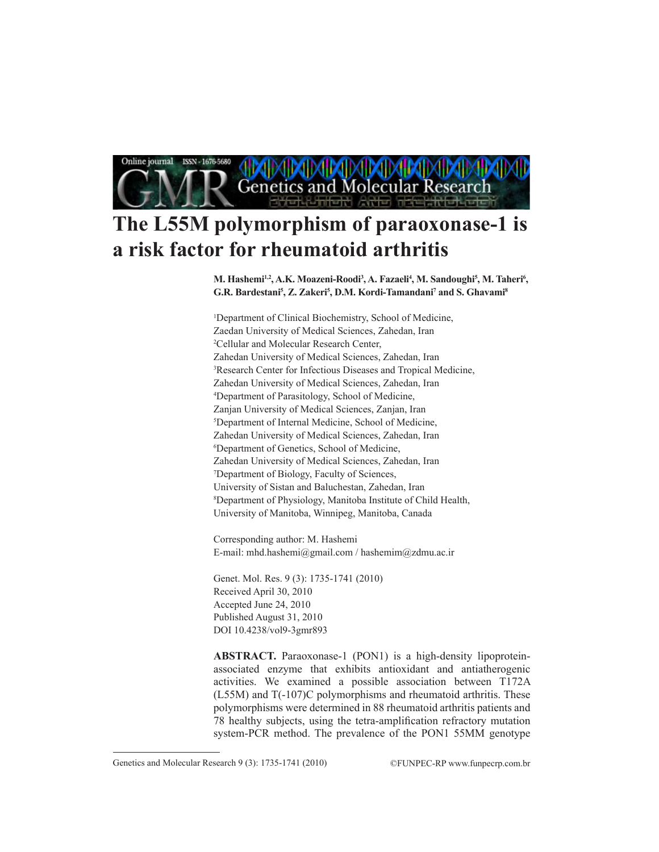Online journal ISSN - 1676-5680 **Genetics and Molecular Research** 

# **The L55M polymorphism of paraoxonase-1 is a risk factor for rheumatoid arthritis**

M. Hashemi<sup>1,2</sup>, A.K. Moazeni-Roodi<sup>3</sup>, A. Fazaeli<sup>4</sup>, M. Sandoughi<sup>5</sup>, M. Taheri<sup>6</sup>, **G.R. Bardestani5 , Z. Zakeri5 , D.M. Kordi-Tamandani7 and S. Ghavami8**

1 Department of Clinical Biochemistry, School of Medicine, Zaedan University of Medical Sciences, Zahedan, Iran 2 Cellular and Molecular Research Center, Zahedan University of Medical Sciences, Zahedan, Iran 3 Research Center for Infectious Diseases and Tropical Medicine, Zahedan University of Medical Sciences, Zahedan, Iran 4 Department of Parasitology, School of Medicine, Zanjan University of Medical Sciences, Zanjan, Iran 5 Department of Internal Medicine, School of Medicine, Zahedan University of Medical Sciences, Zahedan, Iran 6 Department of Genetics, School of Medicine, Zahedan University of Medical Sciences, Zahedan, Iran 7 Department of Biology, Faculty of Sciences, University of Sistan and Baluchestan, Zahedan, Iran 8 Department of Physiology, Manitoba Institute of Child Health, University of Manitoba, Winnipeg, Manitoba, Canada

Corresponding author: M. Hashemi E-mail: mhd.hashemi@gmail.com / hashemim@zdmu.ac.ir

Genet. Mol. Res. 9 (3): 1735-1741 (2010) Received April 30, 2010 Accepted June 24, 2010 Published August 31, 2010 DOI 10.4238/vol9-3gmr893

**ABSTRACT.** Paraoxonase-1 (PON1) is a high-density lipoproteinassociated enzyme that exhibits antioxidant and antiatherogenic activities. We examined a possible association between T172A (L55M) and T(-107)C polymorphisms and rheumatoid arthritis. These polymorphisms were determined in 88 rheumatoid arthritis patients and 78 healthy subjects, using the tetra-amplification refractory mutation system-PCR method. The prevalence of the PON1 55MM genotype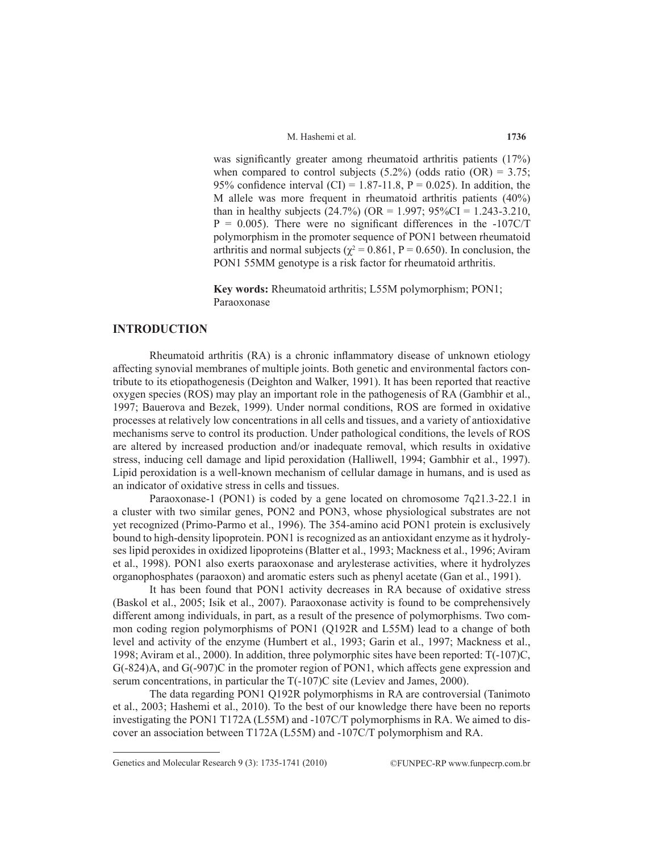M. Hashemi et al.

was significantly greater among rheumatoid arthritis patients (17%) when compared to control subjects  $(5.2\%)$  (odds ratio  $(OR) = 3.75$ ; 95% confidence interval (CI) = 1.87-11.8,  $P = 0.025$ ). In addition, the M allele was more frequent in rheumatoid arthritis patients (40%) than in healthy subjects (24.7%) (OR = 1.997;  $95\%CI = 1.243 - 3.210$ ,  $P = 0.005$ ). There were no significant differences in the -107C/T polymorphism in the promoter sequence of PON1 between rheumatoid arthritis and normal subjects ( $\chi^2$  = 0.861, P = 0.650). In conclusion, the PON1 55MM genotype is a risk factor for rheumatoid arthritis.

**Key words:** Rheumatoid arthritis; L55M polymorphism; PON1; Paraoxonase

#### **INTRODUCTION**

Rheumatoid arthritis (RA) is a chronic inflammatory disease of unknown etiology affecting synovial membranes of multiple joints. Both genetic and environmental factors contribute to its etiopathogenesis (Deighton and Walker, 1991). It has been reported that reactive oxygen species (ROS) may play an important role in the pathogenesis of RA (Gambhir et al., 1997; Bauerova and Bezek, 1999). Under normal conditions, ROS are formed in oxidative processes at relatively low concentrations in all cells and tissues, and a variety of antioxidative mechanisms serve to control its production. Under pathological conditions, the levels of ROS are altered by increased production and/or inadequate removal, which results in oxidative stress, inducing cell damage and lipid peroxidation (Halliwell, 1994; Gambhir et al., 1997). Lipid peroxidation is a well-known mechanism of cellular damage in humans, and is used as an indicator of oxidative stress in cells and tissues.

Paraoxonase-1 (PON1) is coded by a gene located on chromosome 7q21.3-22.1 in a cluster with two similar genes, PON2 and PON3, whose physiological substrates are not yet recognized (Primo-Parmo et al., 1996). The 354-amino acid PON1 protein is exclusively bound to high-density lipoprotein. PON1 is recognized as an antioxidant enzyme as it hydrolyses lipid peroxides in oxidized lipoproteins (Blatter et al., 1993; Mackness et al., 1996; Aviram et al., 1998). PON1 also exerts paraoxonase and arylesterase activities, where it hydrolyzes organophosphates (paraoxon) and aromatic esters such as phenyl acetate (Gan et al., 1991).

It has been found that PON1 activity decreases in RA because of oxidative stress (Baskol et al., 2005; Isik et al., 2007). Paraoxonase activity is found to be comprehensively different among individuals, in part, as a result of the presence of polymorphisms. Two common coding region polymorphisms of PON1 (Q192R and L55M) lead to a change of both level and activity of the enzyme (Humbert et al., 1993; Garin et al., 1997; Mackness et al., 1998; Aviram et al., 2000). In addition, three polymorphic sites have been reported: T(-107)C, G(-824)A, and G(-907)C in the promoter region of PON1, which affects gene expression and serum concentrations, in particular the T(-107)C site (Leviev and James, 2000).

The data regarding PON1 Q192R polymorphisms in RA are controversial (Tanimoto et al., 2003; Hashemi et al., 2010). To the best of our knowledge there have been no reports investigating the PON1 T172A (L55M) and -107C/T polymorphisms in RA. We aimed to discover an association between T172A (L55M) and -107C/T polymorphism and RA.

Genetics and Molecular Research 9 (3): 1735-1741 (2010) ©FUNPEC-RP www.funpecrp.com.br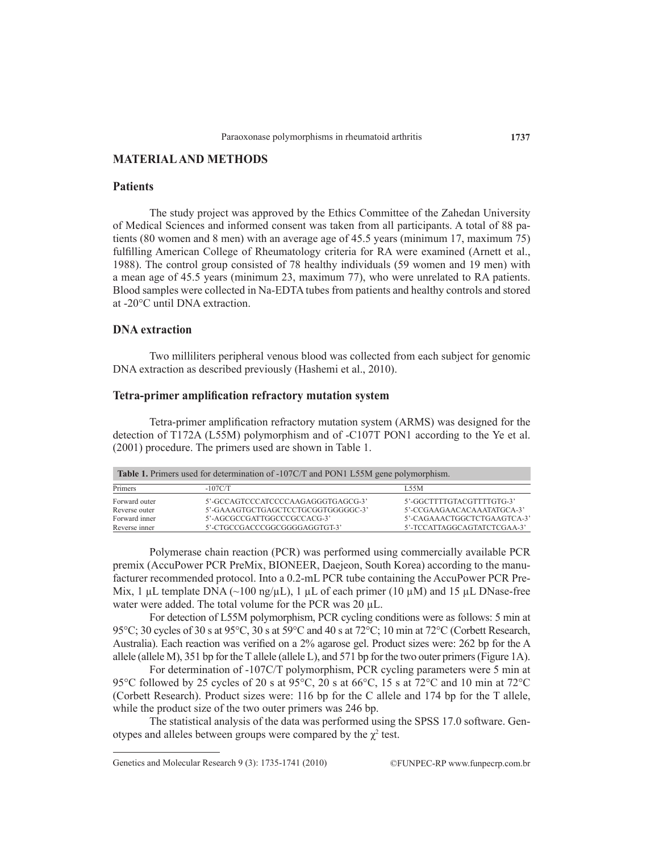# **MATERIAL AND METHODS**

#### **Patients**

The study project was approved by the Ethics Committee of the Zahedan University of Medical Sciences and informed consent was taken from all participants. A total of 88 patients (80 women and 8 men) with an average age of 45.5 years (minimum 17, maximum 75) fulfilling American College of Rheumatology criteria for RA were examined (Arnett et al., 1988). The control group consisted of 78 healthy individuals (59 women and 19 men) with a mean age of 45.5 years (minimum 23, maximum 77), who were unrelated to RA patients. Blood samples were collected in Na-EDTA tubes from patients and healthy controls and stored at -20°C until DNA extraction.

#### **DNA extraction**

Two milliliters peripheral venous blood was collected from each subject for genomic DNA extraction as described previously (Hashemi et al., 2010).

# **Tetra-primer amplification refractory mutation system**

Tetra-primer amplification refractory mutation system (ARMS) was designed for the detection of T172A (L55M) polymorphism and of -C107T PON1 according to the Ye et al. (2001) procedure. The primers used are shown in Table 1.

| <b>Table 1.</b> Primers used for determination of -107C/T and PON1 L55M gene polymorphism. |                                    |                             |  |
|--------------------------------------------------------------------------------------------|------------------------------------|-----------------------------|--|
| Primers                                                                                    | $-107C/T$                          | <b>L55M</b>                 |  |
| Forward outer                                                                              | 5'-GCCAGTCCCATCCCCAAGAGGGTGAGCG-3' | 5'-GGCTTTTGTACGTTTTGTG-3'   |  |
| Reverse outer                                                                              | 5'-GAAAGTGCTGAGCTCCTGCGGTGGGGGC-3' | 5'-CCGAAGAACACAAATATGCA-3'  |  |
| Forward inner                                                                              | 5'-AGCGCCGATTGGCCCGCCACG-3'        | 5'-CAGAAACTGGCTCTGAAGTCA-3' |  |
| Reverse inner                                                                              | 5'-CTGCCGACCCGGCGGGGAGGTGT-3'      | 5'-TCCATTAGGCAGTATCTCGAA-3' |  |

Polymerase chain reaction (PCR) was performed using commercially available PCR premix (AccuPower PCR PreMix, BIONEER, Daejeon, South Korea) according to the manufacturer recommended protocol. Into a 0.2-mL PCR tube containing the AccuPower PCR Pre-Mix, 1 µL template DNA (~100 ng/µL), 1 µL of each primer (10 µM) and 15 µL DNase-free water were added. The total volume for the PCR was 20  $\mu$ L.

For detection of L55M polymorphism, PCR cycling conditions were as follows: 5 min at 95°C; 30 cycles of 30 s at 95°C, 30 s at 59°C and 40 s at 72°C; 10 min at 72°C (Corbett Research, Australia). Each reaction was verified on a 2% agarose gel. Product sizes were: 262 bp for the A allele (allele M), 351 bp for the T allele (allele L), and 571 bp for the two outer primers (Figure 1A).

For determination of -107C/T polymorphism, PCR cycling parameters were 5 min at 95°C followed by 25 cycles of 20 s at 95°C, 20 s at 66°C, 15 s at 72°C and 10 min at 72°C (Corbett Research). Product sizes were: 116 bp for the C allele and 174 bp for the T allele, while the product size of the two outer primers was 246 bp.

The statistical analysis of the data was performed using the SPSS 17.0 software. Genotypes and alleles between groups were compared by the  $\chi^2$  test.

Genetics and Molecular Research 9 (3): 1735-1741 (2010) ©FUNPEC-RP www.funpecrp.com.br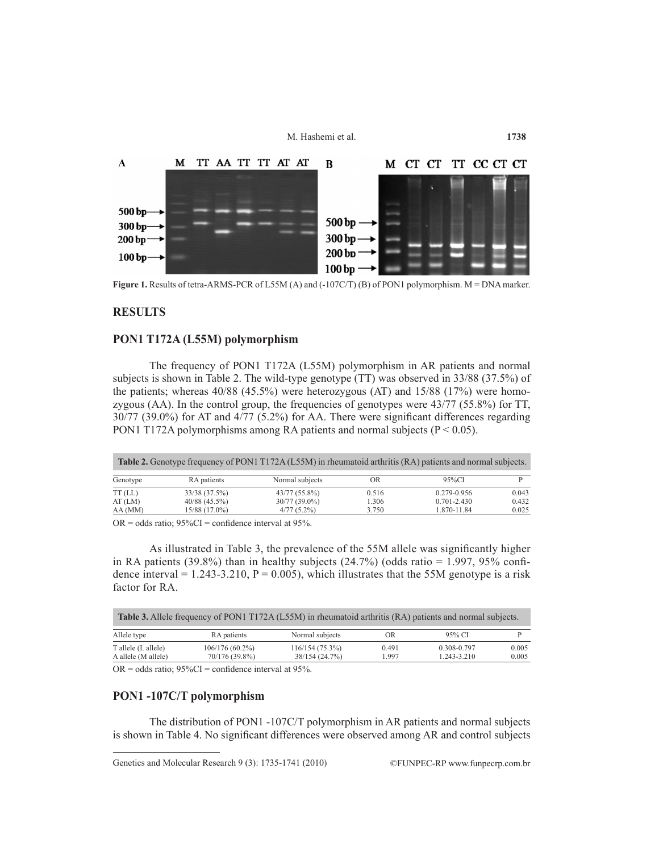M. Hashemi et al.



Figure 1. Results of tetra-ARMS-PCR of L55M (A) and (-107C/T) (B) of PON1 polymorphism. M = DNA marker.

#### **RESULTS**

#### **PON1 T172A (L55M) polymorphism**

The frequency of PON1 T172A (L55M) polymorphism in AR patients and normal subjects is shown in Table 2. The wild-type genotype (TT) was observed in 33/88 (37.5%) of the patients; whereas 40/88 (45.5%) were heterozygous (AT) and 15/88 (17%) were homozygous (AA). In the control group, the frequencies of genotypes were 43/77 (55.8%) for TT, 30/77 (39.0%) for AT and 4/77 (5.2%) for AA. There were significant differences regarding PON1 T172A polymorphisms among RA patients and normal subjects ( $P < 0.05$ ).

|           |                 | <b>Table 2.</b> Genotype frequency of PON1 T172A (L55M) in rheumatoid arthritis (RA) patients and normal subjects. |       |                 |       |
|-----------|-----------------|--------------------------------------------------------------------------------------------------------------------|-------|-----------------|-------|
| Genotype  | RA patients     | Normal subjects                                                                                                    | OR    | 95%CI           |       |
| $TT$ (LL) | 33/38 (37.5%)   | 43/77 (55.8%)                                                                                                      | 0.516 | 0.279-0.956     | 0.043 |
| AT(LM)    | $40/88$ (45.5%) | $30/77(39.0\%)$                                                                                                    | 1.306 | $0.701 - 2.430$ | 0.432 |
| AA(MM)    | 15/88 (17.0%)   | $4/77(5.2\%)$                                                                                                      | 3.750 | 1.870-11.84     | 0.025 |

 $OR = odds ratio$ ;  $95\%CI = confidence interval at 95\%$ .

As illustrated in Table 3, the prevalence of the 55M allele was significantly higher in RA patients (39.8%) than in healthy subjects (24.7%) (odds ratio = 1.997, 95% confidence interval = 1.243-3.210,  $P = 0.005$ ), which illustrates that the 55M genotype is a risk factor for RA.

| <b>Table 3.</b> Allele frequency of PON1 T172A (L55M) in rheumatoid arthritis (RA) patients and normal subjects. |                                     |                                  |                |                                |                |
|------------------------------------------------------------------------------------------------------------------|-------------------------------------|----------------------------------|----------------|--------------------------------|----------------|
| Allele type                                                                                                      | RA patients                         | Normal subjects                  | OR             | 95% CI                         |                |
| T allele (L allele)<br>A allele (M allele)                                                                       | $106/176(60.2\%)$<br>70/176 (39.8%) | 116/154(75.3%)<br>38/154 (24.7%) | 0.491<br>1.997 | 0.308-0.797<br>$1.243 - 3.210$ | 0.005<br>0.005 |

 $OR = odds ratio$ ;  $95\%CI = confidence interval at 95\%$ .

### **PON1 -107C/T polymorphism**

The distribution of PON1 -107C/T polymorphism in AR patients and normal subjects is shown in Table 4. No significant differences were observed among AR and control subjects

Genetics and Molecular Research 9 (3): 1735-1741 (2010) ©FUNPEC-RP www.funpecrp.com.br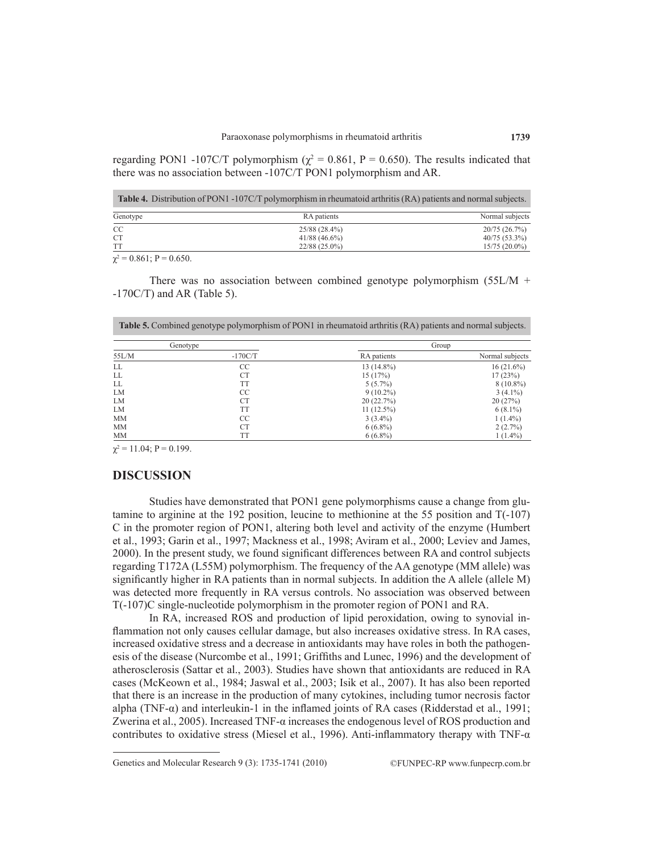regarding PON1 -107C/T polymorphism ( $\chi^2$  = 0.861, P = 0.650). The results indicated that there was no association between -107C/T PON1 polymorphism and AR.

| <b>Table 4.</b> Distribution of PON1 -107C/T polymorphism in rheumatoid arthritis (RA) patients and normal subjects. |                 |                 |  |
|----------------------------------------------------------------------------------------------------------------------|-----------------|-----------------|--|
| Genotype                                                                                                             | RA patients     | Normal subjects |  |
| <sub>CC</sub>                                                                                                        | 25/88 (28.4%)   | 20/75(26.7%)    |  |
| <b>CT</b>                                                                                                            | $41/88(46.6\%)$ | $40/75(53.3\%)$ |  |
| <b>TT</b>                                                                                                            | $22/88(25.0\%)$ | $15/75(20.0\%)$ |  |
| $\sim$ 0.01 $\mu$ 0.150                                                                                              |                 |                 |  |

 $\chi^2$  = 0.861; P = 0.650.

There was no association between combined genotype polymorphism  $(55L/M +$  $-170C/T$ ) and AR (Table 5).

**Table 5.** Combined genotype polymorphism of PON1 in rheumatoid arthritis (RA) patients and normal subjects.

|           | Genotype  |              | Group           |
|-----------|-----------|--------------|-----------------|
| 55L/M     | $-170C/T$ | RA patients  | Normal subjects |
| LL        | CC        | 13 (14.8%)   | $16(21.6\%)$    |
| LL        | <b>CT</b> | 15(17%)      | 17(23%)         |
| LL        | <b>TT</b> | $5(5.7\%)$   | $8(10.8\%)$     |
| LM        | CC        | $9(10.2\%)$  | $3(4.1\%)$      |
| LM        | <b>CT</b> | 20(22.7%)    | 20(27%)         |
| LM        | <b>TT</b> | $11(12.5\%)$ | $6(8.1\%)$      |
| <b>MM</b> | CC        | $3(3.4\%)$   | $1(1.4\%)$      |
| <b>MM</b> | <b>CT</b> | $6(6.8\%)$   | 2(2.7%)         |
| <b>MM</b> | TT        | $6(6.8\%)$   | $1(1.4\%)$      |

 $\chi^2$  = 11.04; P = 0.199.

#### **DISCUSSION**

Studies have demonstrated that PON1 gene polymorphisms cause a change from glutamine to arginine at the 192 position, leucine to methionine at the 55 position and T(-107) C in the promoter region of PON1, altering both level and activity of the enzyme (Humbert et al., 1993; Garin et al., 1997; Mackness et al., 1998; Aviram et al., 2000; Leviev and James, 2000). In the present study, we found significant differences between RA and control subjects regarding T172A (L55M) polymorphism. The frequency of the AA genotype (MM allele) was significantly higher in RA patients than in normal subjects. In addition the A allele (allele M) was detected more frequently in RA versus controls. No association was observed between T(-107)C single-nucleotide polymorphism in the promoter region of PON1 and RA.

In RA, increased ROS and production of lipid peroxidation, owing to synovial inflammation not only causes cellular damage, but also increases oxidative stress. In RA cases, increased oxidative stress and a decrease in antioxidants may have roles in both the pathogenesis of the disease (Nurcombe et al., 1991; Griffiths and Lunec, 1996) and the development of atherosclerosis (Sattar et al., 2003). Studies have shown that antioxidants are reduced in RA cases (McKeown et al., 1984; Jaswal et al., 2003; Isik et al., 2007). It has also been reported that there is an increase in the production of many cytokines, including tumor necrosis factor alpha (TNF-α) and interleukin-1 in the inflamed joints of RA cases (Ridderstad et al., 1991; Zwerina et al., 2005). Increased TNF-α increases the endogenous level of ROS production and contributes to oxidative stress (Miesel et al., 1996). Anti-inflammatory therapy with TNF-α

Genetics and Molecular Research 9 (3): 1735-1741 (2010) ©FUNPEC-RP www.funpecrp.com.br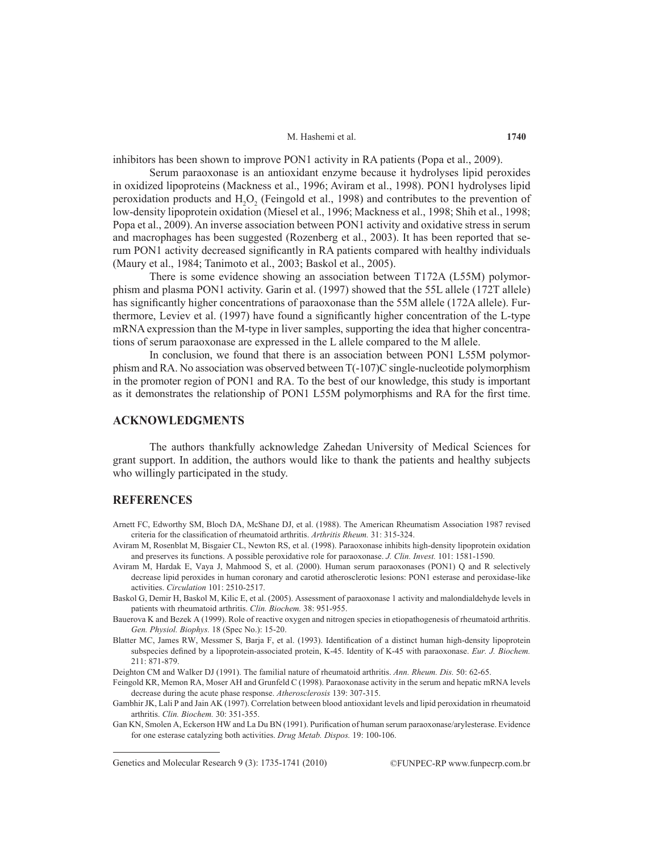#### M. Hashemi et al.

inhibitors has been shown to improve PON1 activity in RA patients (Popa et al., 2009).

Serum paraoxonase is an antioxidant enzyme because it hydrolyses lipid peroxides in oxidized lipoproteins (Mackness et al., 1996; Aviram et al., 1998). PON1 hydrolyses lipid peroxidation products and  $H_2O_2$  (Feingold et al., 1998) and contributes to the prevention of low-density lipoprotein oxidation (Miesel et al., 1996; Mackness et al., 1998; Shih et al., 1998; Popa et al., 2009). An inverse association between PON1 activity and oxidative stress in serum and macrophages has been suggested (Rozenberg et al., 2003). It has been reported that serum PON1 activity decreased significantly in RA patients compared with healthy individuals (Maury et al., 1984; Tanimoto et al., 2003; Baskol et al., 2005).

There is some evidence showing an association between T172A (L55M) polymorphism and plasma PON1 activity. Garin et al. (1997) showed that the 55L allele (172T allele) has significantly higher concentrations of paraoxonase than the 55M allele (172A allele). Furthermore, Leviev et al. (1997) have found a significantly higher concentration of the L-type mRNA expression than the M-type in liver samples, supporting the idea that higher concentrations of serum paraoxonase are expressed in the L allele compared to the M allele.

In conclusion, we found that there is an association between PON1 L55M polymorphism and RA. No association was observed between T(-107)C single-nucleotide polymorphism in the promoter region of PON1 and RA. To the best of our knowledge, this study is important as it demonstrates the relationship of PON1 L55M polymorphisms and RA for the first time.

### **ACKNOWLEDGMENTS**

The authors thankfully acknowledge Zahedan University of Medical Sciences for grant support. In addition, the authors would like to thank the patients and healthy subjects who willingly participated in the study.

#### **REFERENCES**

- Arnett FC, Edworthy SM, Bloch DA, McShane DJ, et al. (1988). The American Rheumatism Association 1987 revised criteria for the classification of rheumatoid arthritis. *Arthritis Rheum.* 31: 315-324.
- Aviram M, Rosenblat M, Bisgaier CL, Newton RS, et al. (1998). Paraoxonase inhibits high-density lipoprotein oxidation and preserves its functions. A possible peroxidative role for paraoxonase. *J. Clin. Invest.* 101: 1581-1590.
- Aviram M, Hardak E, Vaya J, Mahmood S, et al. (2000). Human serum paraoxonases (PON1) Q and R selectively decrease lipid peroxides in human coronary and carotid atherosclerotic lesions: PON1 esterase and peroxidase-like activities. *Circulation* 101: 2510-2517.
- Baskol G, Demir H, Baskol M, Kilic E, et al. (2005). Assessment of paraoxonase 1 activity and malondialdehyde levels in patients with rheumatoid arthritis. *Clin. Biochem.* 38: 951-955.
- Bauerova K and Bezek A (1999). Role of reactive oxygen and nitrogen species in etiopathogenesis of rheumatoid arthritis. *Gen. Physiol. Biophys.* 18 (Spec No.): 15-20.
- Blatter MC, James RW, Messmer S, Barja F, et al. (1993). Identification of a distinct human high-density lipoprotein subspecies defined by a lipoprotein-associated protein, K-45. Identity of K-45 with paraoxonase. *Eur. J. Biochem.* 211: 871-879.
- Deighton CM and Walker DJ (1991). The familial nature of rheumatoid arthritis. *Ann. Rheum. Dis.* 50: 62-65.
- Feingold KR, Memon RA, Moser AH and Grunfeld C (1998). Paraoxonase activity in the serum and hepatic mRNA levels decrease during the acute phase response. *Atherosclerosis* 139: 307-315.
- Gambhir JK, Lali P and Jain AK (1997). Correlation between blood antioxidant levels and lipid peroxidation in rheumatoid arthritis. *Clin. Biochem.* 30: 351-355.
- Gan KN, Smolen A, Eckerson HW and La Du BN (1991). Purification of human serum paraoxonase/arylesterase. Evidence for one esterase catalyzing both activities. *Drug Metab. Dispos.* 19: 100-106.

Genetics and Molecular Research 9 (3): 1735-1741 (2010) ©FUNPEC-RP www.funpecrp.com.br